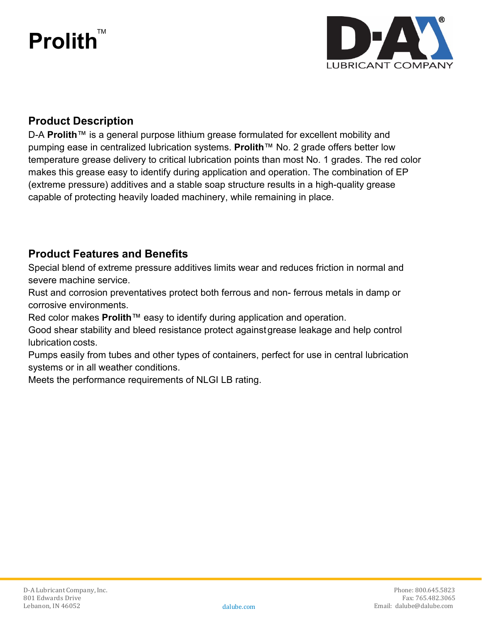# **Prolith** TM



### **Product Description**

D-A **Prolith**™ is a general purpose lithium grease formulated for excellent mobility and pumping ease in centralized lubrication systems. **Prolith**™ No. 2 grade offers better low temperature grease delivery to critical lubrication points than most No. 1 grades. The red color makes this grease easy to identify during application and operation. The combination of EP (extreme pressure) additives and a stable soap structure results in a high-quality grease capable of protecting heavily loaded machinery, while remaining in place.

### **Product Features and Benefits**

Special blend of extreme pressure additives limits wear and reduces friction in normal and severe machine service.

Rust and corrosion preventatives protect both ferrous and non- ferrous metals in damp or corrosive environments.

Red color makes **Prolith**™ easy to identify during application and operation.

Good shear stability and bleed resistance protect againstgrease leakage and help control lubrication costs.

Pumps easily from tubes and other types of containers, perfect for use in central lubrication systems or in all weather conditions.

Meets the performance requirements of NLGI LB rating.